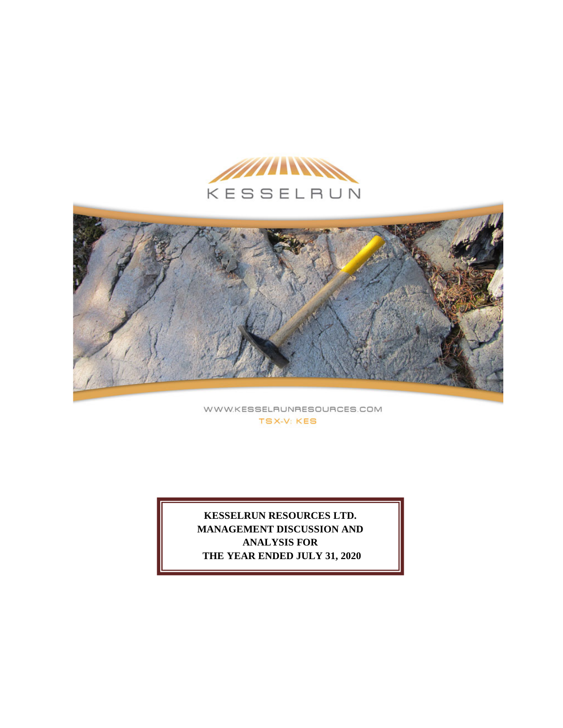



WWW.KESSELRUNRESOURCES.COM **TSX-V: KES** 

**KESSELRUN RESOURCES LTD. MANAGEMENT DISCUSSION AND ANALYSIS FOR THE YEAR ENDED JULY 31, 2020**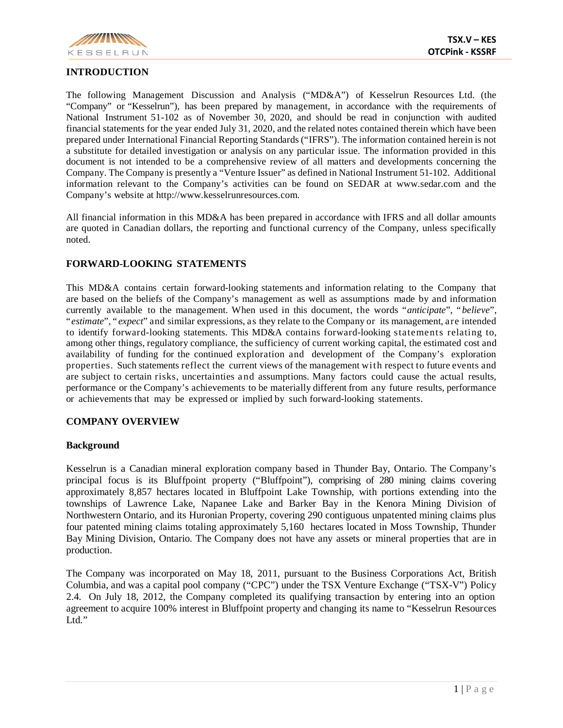

# **INTRODUCTION**

The following Management Discussion and Analysis ("MD&A") of Kesselrun Resources Ltd. (the "Company" or "Kesselrun"), has been prepared by management, in accordance with the requirements of National Instrument 51-102 as of November 30, 2020, and should be read in conjunction with audited financial statements for the year ended July 31, 2020, and the related notes contained therein which have been prepared under International Financial Reporting Standards ("IFRS"). The information contained herein is not a substitute for detailed investigation or analysis on any particular issue. The information provided in this document is not intended to be a comprehensive review of all matters and developments concerning the Company. The Company is presently a "Venture Issuer" as defined in National Instrument 51-102. Additional information relevant to the Company's activities can be found on SEDAR at www.sedar.com and the Company's website at http://www.kesselrunresources.com.

All financial information in this MD&A has been prepared in accordance with IFRS and all dollar amounts are quoted in Canadian dollars, the reporting and functional currency of the Company, unless specifically noted.

### **FORWARD-LOOKING STATEMENTS**

This MD&A contains certain forward-looking statements and information relating to the Company that are based on the beliefs of the Company's management as well as assumptions made by and information currently available to the management. When used in this document, the words "*anticipate*", "*believe*", "*estimate*", " *expect*" and similar expressions, as they relate to the Company or its management, are intended to identify forward-looking statements. This MD&A contains forward-looking statements relating to, among other things, regulatory compliance, the sufficiency of current working capital, the estimated cost and availability of funding for the continued exploration and development of the Company's exploration properties. Such statements reflect the current views of the management with respect to future events and are subject to certain risks, uncertainties and assumptions. Many factors could cause the actual results, performance or the Company's achievements to be materially different from any future results, performance or achievements that may be expressed or implied by such forward-looking statements.

#### **COMPANY OVERVIEW**

#### **Background**

Kesselrun is a Canadian mineral exploration company based in Thunder Bay, Ontario. The Company's principal focus is its Bluffpoint property ("Bluffpoint"), comprising of 280 mining claims covering approximately 8,857 hectares located in Bluffpoint Lake Township, with portions extending into the townships of Lawrence Lake, Napanee Lake and Barker Bay in the Kenora Mining Division of Northwestern Ontario, and its Huronian Property, covering 290 contiguous unpatented mining claims plus four patented mining claims totaling approximately 5,160 hectares located in Moss Township, Thunder Bay Mining Division, Ontario. The Company does not have any assets or mineral properties that are in production.

The Company was incorporated on May 18, 2011, pursuant to the Business Corporations Act, British Columbia, and was a capital pool company ("CPC") under the TSX Venture Exchange ("TSX-V") Policy 2.4. On July 18, 2012, the Company completed its qualifying transaction by entering into an option agreement to acquire 100% interest in Bluffpoint property and changing its name to "Kesselrun Resources Ltd."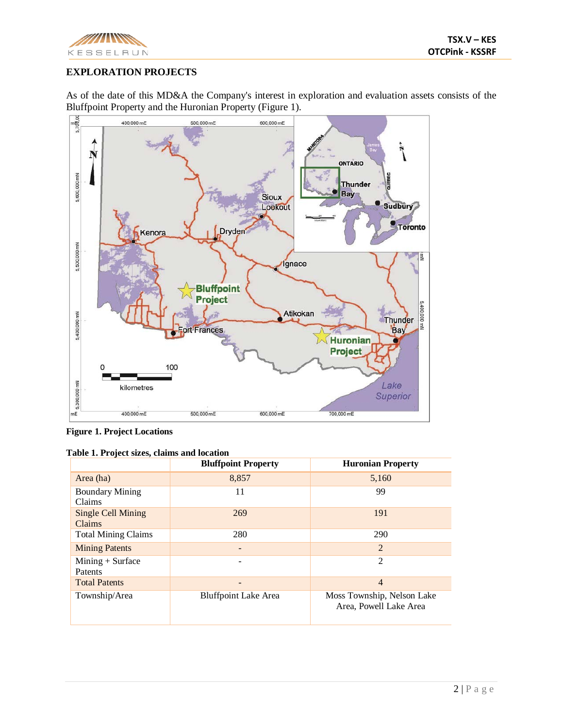

# **EXPLORATION PROJECTS**

As of the date of this MD&A the Company's interest in exploration and evaluation assets consists of the Bluffpoint Property and the Huronian Property (Figure 1).



**Figure 1. Project Locations**

|                                     | <b>Bluffpoint Property</b>  | <b>Huronian Property</b>                             |
|-------------------------------------|-----------------------------|------------------------------------------------------|
| Area (ha)                           | 8,857                       | 5,160                                                |
| <b>Boundary Mining</b><br>Claims    | 11                          | 99                                                   |
| <b>Single Cell Mining</b><br>Claims | 269                         | 191                                                  |
| <b>Total Mining Claims</b>          | 280                         | 290                                                  |
| <b>Mining Patents</b>               |                             | $\overline{2}$                                       |
| $Mining + Surface$<br>Patents       |                             | 2                                                    |
| <b>Total Patents</b>                |                             | $\overline{4}$                                       |
| Township/Area                       | <b>Bluffpoint Lake Area</b> | Moss Township, Nelson Lake<br>Area, Powell Lake Area |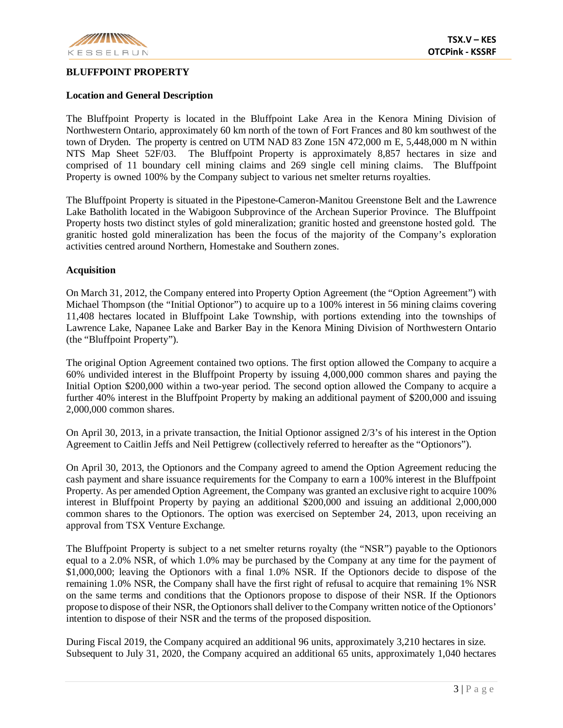

### **BLUFFPOINT PROPERTY**

## **Location and General Description**

The Bluffpoint Property is located in the Bluffpoint Lake Area in the Kenora Mining Division of Northwestern Ontario, approximately 60 km north of the town of Fort Frances and 80 km southwest of the town of Dryden. The property is centred on UTM NAD 83 Zone 15N 472,000 m E, 5,448,000 m N within NTS Map Sheet 52F/03. The Bluffpoint Property is approximately 8,857 hectares in size and comprised of 11 boundary cell mining claims and 269 single cell mining claims. The Bluffpoint Property is owned 100% by the Company subject to various net smelter returns royalties.

The Bluffpoint Property is situated in the Pipestone-Cameron-Manitou Greenstone Belt and the Lawrence Lake Batholith located in the Wabigoon Subprovince of the Archean Superior Province. The Bluffpoint Property hosts two distinct styles of gold mineralization; granitic hosted and greenstone hosted gold. The granitic hosted gold mineralization has been the focus of the majority of the Company's exploration activities centred around Northern, Homestake and Southern zones.

## **Acquisition**

On March 31, 2012, the Company entered into Property Option Agreement (the "Option Agreement") with Michael Thompson (the "Initial Optionor") to acquire up to a 100% interest in 56 mining claims covering 11,408 hectares located in Bluffpoint Lake Township, with portions extending into the townships of Lawrence Lake, Napanee Lake and Barker Bay in the Kenora Mining Division of Northwestern Ontario (the "Bluffpoint Property").

The original Option Agreement contained two options. The first option allowed the Company to acquire a 60% undivided interest in the Bluffpoint Property by issuing 4,000,000 common shares and paying the Initial Option \$200,000 within a two-year period. The second option allowed the Company to acquire a further 40% interest in the Bluffpoint Property by making an additional payment of \$200,000 and issuing 2,000,000 common shares.

On April 30, 2013, in a private transaction, the Initial Optionor assigned 2/3's of his interest in the Option Agreement to Caitlin Jeffs and Neil Pettigrew (collectively referred to hereafter as the "Optionors").

On April 30, 2013, the Optionors and the Company agreed to amend the Option Agreement reducing the cash payment and share issuance requirements for the Company to earn a 100% interest in the Bluffpoint Property. As per amended Option Agreement, the Company was granted an exclusive right to acquire 100% interest in Bluffpoint Property by paying an additional \$200,000 and issuing an additional 2,000,000 common shares to the Optionors. The option was exercised on September 24, 2013, upon receiving an approval from TSX Venture Exchange.

The Bluffpoint Property is subject to a net smelter returns royalty (the "NSR") payable to the Optionors equal to a 2.0% NSR, of which 1.0% may be purchased by the Company at any time for the payment of \$1,000,000; leaving the Optionors with a final 1.0% NSR. If the Optionors decide to dispose of the remaining 1.0% NSR, the Company shall have the first right of refusal to acquire that remaining 1% NSR on the same terms and conditions that the Optionors propose to dispose of their NSR. If the Optionors propose to dispose of their NSR, the Optionors shall deliver to the Company written notice of the Optionors' intention to dispose of their NSR and the terms of the proposed disposition.

During Fiscal 2019, the Company acquired an additional 96 units, approximately 3,210 hectares in size. Subsequent to July 31, 2020, the Company acquired an additional 65 units, approximately 1,040 hectares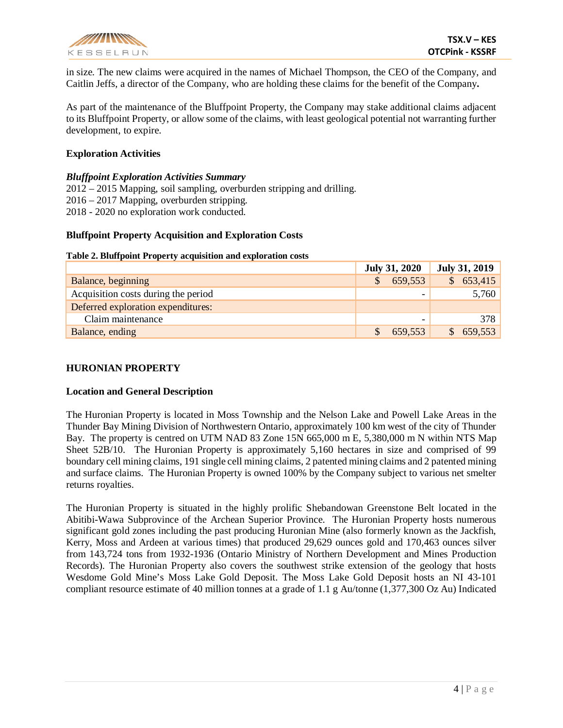

in size. The new claims were acquired in the names of Michael Thompson, the CEO of the Company, and Caitlin Jeffs, a director of the Company, who are holding these claims for the benefit of the Company**.**

As part of the maintenance of the Bluffpoint Property, the Company may stake additional claims adjacent to its Bluffpoint Property, or allow some of the claims, with least geological potential not warranting further development, to expire.

### **Exploration Activities**

### *Bluffpoint Exploration Activities Summary*

2012 – 2015 Mapping, soil sampling, overburden stripping and drilling. 2016 – 2017 Mapping, overburden stripping. 2018 - 2020 no exploration work conducted.

### **Bluffpoint Property Acquisition and Exploration Costs**

#### **Table 2. Bluffpoint Property acquisition and exploration costs**

|                                          | <b>July 31, 2020</b> |         | <b>July 31, 2019</b> |         |
|------------------------------------------|----------------------|---------|----------------------|---------|
| Balance, beginning                       |                      | 659,553 | $\mathcal{S}$        | 653,415 |
| Acquisition costs during the period<br>- |                      |         | 5,760                |         |
| Deferred exploration expenditures:       |                      |         |                      |         |
| Claim maintenance                        |                      | -       |                      | 378     |
| Balance, ending                          |                      | 659,553 |                      | 659,553 |

### **HURONIAN PROPERTY**

#### **Location and General Description**

The Huronian Property is located in Moss Township and the Nelson Lake and Powell Lake Areas in the Thunder Bay Mining Division of Northwestern Ontario, approximately 100 km west of the city of Thunder Bay. The property is centred on UTM NAD 83 Zone 15N 665,000 m E, 5,380,000 m N within NTS Map Sheet 52B/10. The Huronian Property is approximately 5,160 hectares in size and comprised of 99 boundary cell mining claims, 191 single cell mining claims, 2 patented mining claims and 2 patented mining and surface claims. The Huronian Property is owned 100% by the Company subject to various net smelter returns royalties.

The Huronian Property is situated in the highly prolific Shebandowan Greenstone Belt located in the Abitibi-Wawa Subprovince of the Archean Superior Province. The Huronian Property hosts numerous significant gold zones including the past producing Huronian Mine (also formerly known as the Jackfish, Kerry, Moss and Ardeen at various times) that produced 29,629 ounces gold and 170,463 ounces silver from 143,724 tons from 1932-1936 (Ontario Ministry of Northern Development and Mines Production Records). The Huronian Property also covers the southwest strike extension of the geology that hosts Wesdome Gold Mine's Moss Lake Gold Deposit. The Moss Lake Gold Deposit hosts an NI 43-101 compliant resource estimate of 40 million tonnes at a grade of 1.1 g Au/tonne (1,377,300 Oz Au) Indicated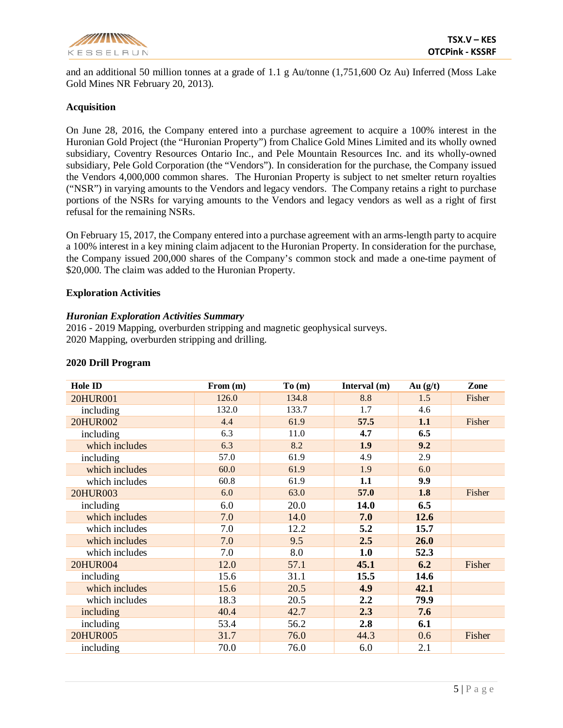

and an additional 50 million tonnes at a grade of 1.1 g Au/tonne (1,751,600 Oz Au) Inferred (Moss Lake Gold Mines NR February 20, 2013).

### **Acquisition**

On June 28, 2016, the Company entered into a purchase agreement to acquire a 100% interest in the Huronian Gold Project (the "Huronian Property") from Chalice Gold Mines Limited and its wholly owned subsidiary, Coventry Resources Ontario Inc., and Pele Mountain Resources Inc. and its wholly-owned subsidiary, Pele Gold Corporation (the "Vendors"). In consideration for the purchase, the Company issued the Vendors 4,000,000 common shares. The Huronian Property is subject to net smelter return royalties ("NSR") in varying amounts to the Vendors and legacy vendors. The Company retains a right to purchase portions of the NSRs for varying amounts to the Vendors and legacy vendors as well as a right of first refusal for the remaining NSRs.

On February 15, 2017, the Company entered into a purchase agreement with an arms-length party to acquire a 100% interest in a key mining claim adjacent to the Huronian Property. In consideration for the purchase, the Company issued 200,000 shares of the Company's common stock and made a one-time payment of \$20,000. The claim was added to the Huronian Property.

### **Exploration Activities**

#### *Huronian Exploration Activities Summary*

2016 - 2019 Mapping, overburden stripping and magnetic geophysical surveys. 2020 Mapping, overburden stripping and drilling.

| <b>Hole ID</b>  | From (m) | To(m) | Interval (m) | Au $(g/t)$ | Zone   |
|-----------------|----------|-------|--------------|------------|--------|
| 20HUR001        | 126.0    | 134.8 | 8.8          | 1.5        | Fisher |
| including       | 132.0    | 133.7 | 1.7          | 4.6        |        |
| 20HUR002        | 4.4      | 61.9  | 57.5         | 1.1        | Fisher |
| including       | 6.3      | 11.0  | 4.7          | 6.5        |        |
| which includes  | 6.3      | 8.2   | 1.9          | 9.2        |        |
| including       | 57.0     | 61.9  | 4.9          | 2.9        |        |
| which includes  | 60.0     | 61.9  | 1.9          | 6.0        |        |
| which includes  | 60.8     | 61.9  | 1.1          | 9.9        |        |
| 20HUR003        | 6.0      | 63.0  | 57.0         | 1.8        | Fisher |
| including       | 6.0      | 20.0  | 14.0         | 6.5        |        |
| which includes  | 7.0      | 14.0  | 7.0          | 12.6       |        |
| which includes  | 7.0      | 12.2  | 5.2          | 15.7       |        |
| which includes  | 7.0      | 9.5   | 2.5          | 26.0       |        |
| which includes  | 7.0      | 8.0   | 1.0          | 52.3       |        |
| <b>20HUR004</b> | 12.0     | 57.1  | 45.1         | 6.2        | Fisher |
| including       | 15.6     | 31.1  | 15.5         | 14.6       |        |
| which includes  | 15.6     | 20.5  | 4.9          | 42.1       |        |
| which includes  | 18.3     | 20.5  | 2.2          | 79.9       |        |
| including       | 40.4     | 42.7  | 2.3          | 7.6        |        |
| including       | 53.4     | 56.2  | 2.8          | 6.1        |        |
| <b>20HUR005</b> | 31.7     | 76.0  | 44.3         | 0.6        | Fisher |
| including       | 70.0     | 76.0  | 6.0          | 2.1        |        |

#### **2020 Drill Program**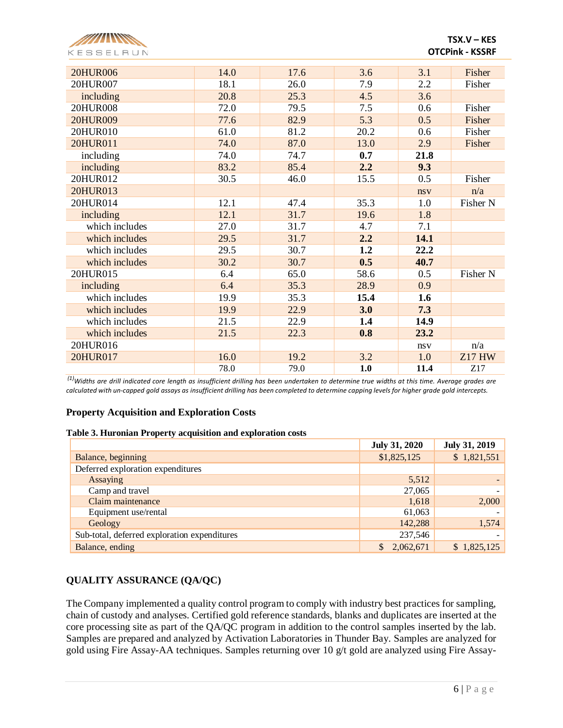

| <b>20HUR006</b> | 14.0 | 17.6 | 3.6  | 3.1  | Fisher        |
|-----------------|------|------|------|------|---------------|
| 20HUR007        | 18.1 | 26.0 | 7.9  | 2.2  | Fisher        |
| including       | 20.8 | 25.3 | 4.5  | 3.6  |               |
| 20HUR008        | 72.0 | 79.5 | 7.5  | 0.6  | Fisher        |
| 20HUR009        | 77.6 | 82.9 | 5.3  | 0.5  | Fisher        |
| 20HUR010        | 61.0 | 81.2 | 20.2 | 0.6  | Fisher        |
| 20HUR011        | 74.0 | 87.0 | 13.0 | 2.9  | Fisher        |
| including       | 74.0 | 74.7 | 0.7  | 21.8 |               |
| including       | 83.2 | 85.4 | 2.2  | 9.3  |               |
| 20HUR012        | 30.5 | 46.0 | 15.5 | 0.5  | Fisher        |
| 20HUR013        |      |      |      | nsv  | n/a           |
| 20HUR014        | 12.1 | 47.4 | 35.3 | 1.0  | Fisher N      |
| including       | 12.1 | 31.7 | 19.6 | 1.8  |               |
| which includes  | 27.0 | 31.7 | 4.7  | 7.1  |               |
| which includes  | 29.5 | 31.7 | 2.2  | 14.1 |               |
| which includes  | 29.5 | 30.7 | 1.2  | 22.2 |               |
| which includes  | 30.2 | 30.7 | 0.5  | 40.7 |               |
| 20HUR015        | 6.4  | 65.0 | 58.6 | 0.5  | Fisher N      |
| including       | 6.4  | 35.3 | 28.9 | 0.9  |               |
| which includes  | 19.9 | 35.3 | 15.4 | 1.6  |               |
| which includes  | 19.9 | 22.9 | 3.0  | 7.3  |               |
| which includes  | 21.5 | 22.9 | 1.4  | 14.9 |               |
| which includes  | 21.5 | 22.3 | 0.8  | 23.2 |               |
| 20HUR016        |      |      |      | nsv  | n/a           |
| 20HUR017        | 16.0 | 19.2 | 3.2  | 1.0  | <b>Z17 HW</b> |
|                 | 78.0 | 79.0 | 1.0  | 11.4 | Z17           |

*(1)Widths are drill indicated core length as insufficient drilling has been undertaken to determine true widths at this time. Average grades are calculated with un-capped gold assays as insufficient drilling has been completed to determine capping levels for higher grade gold intercepts.* 

## **Property Acquisition and Exploration Costs**

#### **Table 3. Huronian Property acquisition and exploration costs**

|                                              | <b>July 31, 2020</b>      | <b>July 31, 2019</b> |
|----------------------------------------------|---------------------------|----------------------|
| Balance, beginning                           | \$1,825,125               | \$1,821,551          |
| Deferred exploration expenditures            |                           |                      |
| Assaying                                     | 5,512                     |                      |
| Camp and travel                              | 27,065                    |                      |
| Claim maintenance                            | 1,618                     | 2,000                |
| Equipment use/rental                         | 61,063                    |                      |
| Geology                                      | 142,288                   | 1,574                |
| Sub-total, deferred exploration expenditures | 237,546                   |                      |
| Balance, ending                              | $\mathbb{S}$<br>2,062,671 | \$1,825,125          |

# **QUALITY ASSURANCE (QA/QC)**

The Company implemented a quality control program to comply with industry best practices for sampling, chain of custody and analyses. Certified gold reference standards, blanks and duplicates are inserted at the core processing site as part of the QA/QC program in addition to the control samples inserted by the lab. Samples are prepared and analyzed by Activation Laboratories in Thunder Bay. Samples are analyzed for gold using Fire Assay-AA techniques. Samples returning over 10 g/t gold are analyzed using Fire Assay-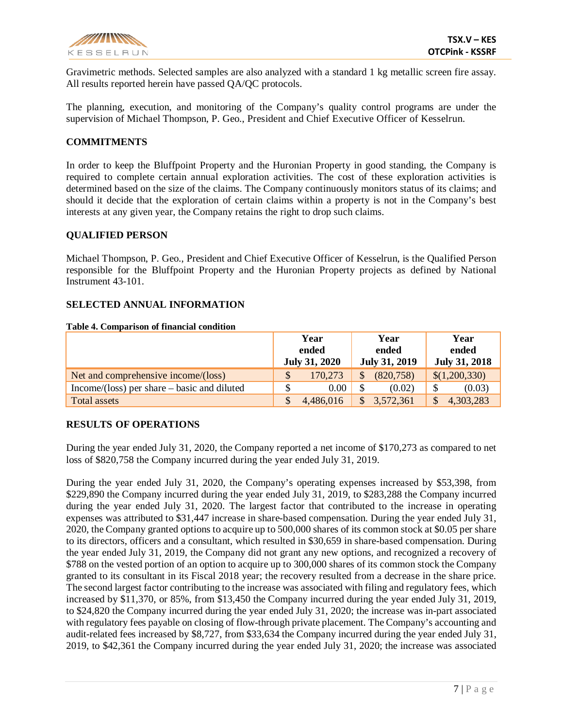

Gravimetric methods. Selected samples are also analyzed with a standard 1 kg metallic screen fire assay. All results reported herein have passed QA/QC protocols.

The planning, execution, and monitoring of the Company's quality control programs are under the supervision of Michael Thompson, P. Geo., President and Chief Executive Officer of Kesselrun.

### **COMMITMENTS**

In order to keep the Bluffpoint Property and the Huronian Property in good standing, the Company is required to complete certain annual exploration activities. The cost of these exploration activities is determined based on the size of the claims. The Company continuously monitors status of its claims; and should it decide that the exploration of certain claims within a property is not in the Company's best interests at any given year, the Company retains the right to drop such claims.

### **QUALIFIED PERSON**

Michael Thompson, P. Geo., President and Chief Executive Officer of Kesselrun, is the Qualified Person responsible for the Bluffpoint Property and the Huronian Property projects as defined by National Instrument 43-101.

#### **SELECTED ANNUAL INFORMATION**

|  | Table 4. Comparison of financial condition |
|--|--------------------------------------------|
|--|--------------------------------------------|

|                                               | Year<br>ended<br><b>July 31, 2020</b> | Year<br>ended<br>July 31, 2019 | Year<br>ended<br><b>July 31, 2018</b> |  |  |
|-----------------------------------------------|---------------------------------------|--------------------------------|---------------------------------------|--|--|
| Net and comprehensive income/(loss)           | $\mathcal{S}$<br>170,273              | (820, 758)                     | \$(1,200,330)                         |  |  |
| $Income/(loss)$ per share – basic and diluted | 0.00                                  | (0.02)                         | (0.03)                                |  |  |
| Total assets                                  | 4,486,016                             | 3,572,361                      | 4,303,283                             |  |  |

## **RESULTS OF OPERATIONS**

During the year ended July 31, 2020, the Company reported a net income of \$170,273 as compared to net loss of \$820,758 the Company incurred during the year ended July 31, 2019.

During the year ended July 31, 2020, the Company's operating expenses increased by \$53,398, from \$229,890 the Company incurred during the year ended July 31, 2019, to \$283,288 the Company incurred during the year ended July 31, 2020. The largest factor that contributed to the increase in operating expenses was attributed to \$31,447 increase in share-based compensation. During the year ended July 31, 2020, the Company granted options to acquire up to 500,000 shares of its common stock at \$0.05 per share to its directors, officers and a consultant, which resulted in \$30,659 in share-based compensation. During the year ended July 31, 2019, the Company did not grant any new options, and recognized a recovery of \$788 on the vested portion of an option to acquire up to 300,000 shares of its common stock the Company granted to its consultant in its Fiscal 2018 year; the recovery resulted from a decrease in the share price. The second largest factor contributing to the increase was associated with filing and regulatory fees, which increased by \$11,370, or 85%, from \$13,450 the Company incurred during the year ended July 31, 2019, to \$24,820 the Company incurred during the year ended July 31, 2020; the increase was in-part associated with regulatory fees payable on closing of flow-through private placement. The Company's accounting and audit-related fees increased by \$8,727, from \$33,634 the Company incurred during the year ended July 31, 2019, to \$42,361 the Company incurred during the year ended July 31, 2020; the increase was associated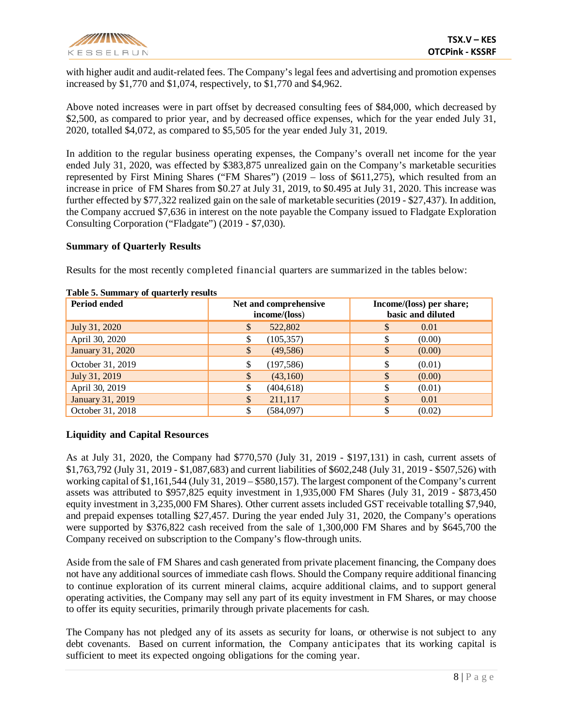

with higher audit and audit-related fees. The Company's legal fees and advertising and promotion expenses increased by \$1,770 and \$1,074, respectively, to \$1,770 and \$4,962.

Above noted increases were in part offset by decreased consulting fees of \$84,000, which decreased by \$2,500, as compared to prior year, and by decreased office expenses, which for the year ended July 31, 2020, totalled \$4,072, as compared to \$5,505 for the year ended July 31, 2019.

In addition to the regular business operating expenses, the Company's overall net income for the year ended July 31, 2020, was effected by \$383,875 unrealized gain on the Company's marketable securities represented by First Mining Shares ("FM Shares") (2019 – loss of \$611,275), which resulted from an increase in price of FM Shares from \$0.27 at July 31, 2019, to \$0.495 at July 31, 2020. This increase was further effected by \$77,322 realized gain on the sale of marketable securities (2019 - \$27,437). In addition, the Company accrued \$7,636 in interest on the note payable the Company issued to Fladgate Exploration Consulting Corporation ("Fladgate") (2019 - \$7,030).

### **Summary of Quarterly Results**

Results for the most recently completed financial quarters are summarized in the tables below:

| Period ended     | Net and comprehensive<br>income/(loss) | Income/(loss) per share;<br>basic and diluted |
|------------------|----------------------------------------|-----------------------------------------------|
| July 31, 2020    | 522,802<br>$\mathbb{S}$                | \$<br>0.01                                    |
| April 30, 2020   | (105, 357)<br>S                        | (0.00)<br>S                                   |
| January 31, 2020 | $\frac{1}{2}$<br>(49, 586)             | \$<br>(0.00)                                  |
| October 31, 2019 | (197, 586)<br>S                        | \$<br>(0.01)                                  |
| July 31, 2019    | \$<br>(43,160)                         | \$<br>(0.00)                                  |
| April 30, 2019   | (404, 618)<br>\$                       | \$<br>(0.01)                                  |
| January 31, 2019 | $\mathcal{S}$<br>211,117               | \$<br>0.01                                    |
| October 31, 2018 | \$<br>(584,097)                        | (0.02)                                        |

#### **Table 5. Summary of quarterly results**

# **Liquidity and Capital Resources**

As at July 31, 2020, the Company had \$770,570 (July 31, 2019 - \$197,131) in cash, current assets of \$1,763,792 (July 31, 2019 - \$1,087,683) and current liabilities of \$602,248 (July 31, 2019 - \$507,526) with working capital of \$1,161,544 (July 31, 2019 – \$580,157). The largest component of the Company's current assets was attributed to \$957,825 equity investment in 1,935,000 FM Shares (July 31, 2019 - \$873,450 equity investment in 3,235,000 FM Shares). Other current assets included GST receivable totalling \$7,940, and prepaid expenses totalling \$27,457. During the year ended July 31, 2020, the Company's operations were supported by \$376,822 cash received from the sale of 1,300,000 FM Shares and by \$645,700 the Company received on subscription to the Company's flow-through units.

Aside from the sale of FM Shares and cash generated from private placement financing, the Company does not have any additional sources of immediate cash flows. Should the Company require additional financing to continue exploration of its current mineral claims, acquire additional claims, and to support general operating activities, the Company may sell any part of its equity investment in FM Shares, or may choose to offer its equity securities, primarily through private placements for cash.

The Company has not pledged any of its assets as security for loans, or otherwise is not subject to any debt covenants. Based on current information, the Company anticipates that its working capital is sufficient to meet its expected ongoing obligations for the coming year.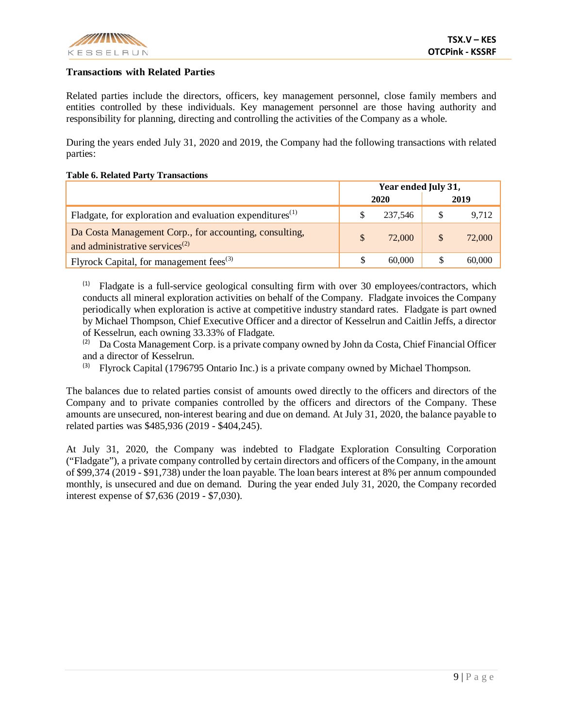

### **Transactions with Related Parties**

Related parties include the directors, officers, key management personnel, close family members and entities controlled by these individuals. Key management personnel are those having authority and responsibility for planning, directing and controlling the activities of the Company as a whole.

During the years ended July 31, 2020 and 2019, the Company had the following transactions with related parties:

#### **Table 6. Related Party Transactions**

|                                                                                                | Year ended July 31, |         |    |        |
|------------------------------------------------------------------------------------------------|---------------------|---------|----|--------|
| 2020                                                                                           |                     |         |    | 2019   |
| Fladgate, for exploration and evaluation expenditures <sup>(1)</sup>                           |                     | 237.546 | \$ | 9,712  |
| Da Costa Management Corp., for accounting, consulting,<br>and administrative services $^{(2)}$ |                     | 72,000  | \$ | 72,000 |
| Flyrock Capital, for management fees <sup>(3)</sup>                                            |                     | 60,000  |    | 60,000 |

 $(1)$  Fladgate is a full-service geological consulting firm with over 30 employees/contractors, which conducts all mineral exploration activities on behalf of the Company. Fladgate invoices the Company periodically when exploration is active at competitive industry standard rates. Fladgate is part owned by Michael Thompson, Chief Executive Officer and a director of Kesselrun and Caitlin Jeffs, a director of Kesselrun, each owning 33.33% of Fladgate.

(2) Da Costa Management Corp. is a private company owned by John da Costa, Chief Financial Officer and a director of Kesselrun.

 $^{(3)}$  Flyrock Capital (1796795 Ontario Inc.) is a private company owned by Michael Thompson.

The balances due to related parties consist of amounts owed directly to the officers and directors of the Company and to private companies controlled by the officers and directors of the Company. These amounts are unsecured, non-interest bearing and due on demand. At July 31, 2020, the balance payable to related parties was \$485,936 (2019 - \$404,245).

At July 31, 2020, the Company was indebted to Fladgate Exploration Consulting Corporation ("Fladgate"), a private company controlled by certain directors and officers of the Company, in the amount of \$99,374 (2019 - \$91,738) under the loan payable. The loan bears interest at 8% per annum compounded monthly, is unsecured and due on demand. During the year ended July 31, 2020, the Company recorded interest expense of \$7,636 (2019 - \$7,030).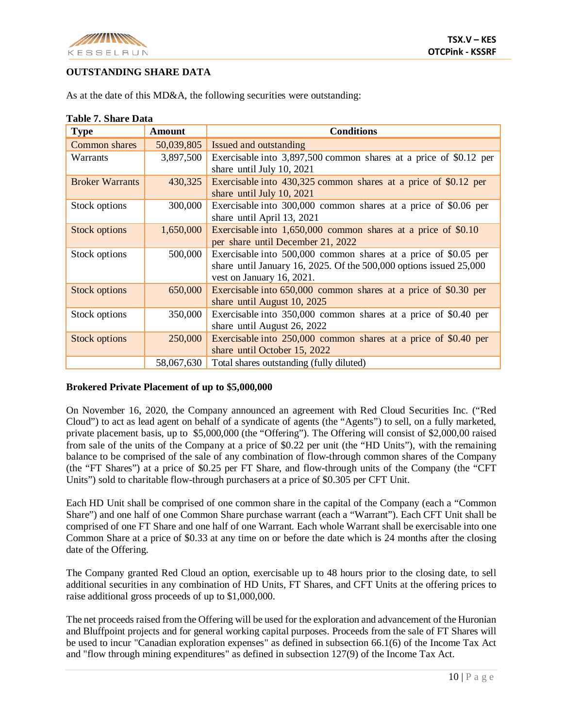

# **OUTSTANDING SHARE DATA**

| <b>Type</b>            | <b>Amount</b> | <b>Conditions</b>                                                                                                                                                      |
|------------------------|---------------|------------------------------------------------------------------------------------------------------------------------------------------------------------------------|
| Common shares          | 50,039,805    | Issued and outstanding                                                                                                                                                 |
| Warrants               | 3,897,500     | Exercisable into 3,897,500 common shares at a price of \$0.12 per<br>share until July 10, 2021                                                                         |
| <b>Broker Warrants</b> | 430,325       | Exercisable into 430,325 common shares at a price of \$0.12 per<br>share until July 10, 2021                                                                           |
| Stock options          | 300,000       | Exercisable into 300,000 common shares at a price of \$0.06 per<br>share until April 13, 2021                                                                          |
| <b>Stock options</b>   | 1,650,000     | Exercisable into 1,650,000 common shares at a price of \$0.10<br>per share until December 21, 2022                                                                     |
| Stock options          | 500,000       | Exercisable into 500,000 common shares at a price of \$0.05 per<br>share until January 16, 2025. Of the $500,000$ options issued $25,000$<br>vest on January 16, 2021. |
| <b>Stock options</b>   | 650,000       | Exercisable into 650,000 common shares at a price of \$0.30 per<br>share until August 10, 2025                                                                         |
| Stock options          | 350,000       | Exercisable into 350,000 common shares at a price of \$0.40 per<br>share until August 26, 2022                                                                         |
| <b>Stock options</b>   | 250,000       | Exercisable into 250,000 common shares at a price of \$0.40 per<br>share until October 15, 2022                                                                        |
|                        | 58,067,630    | Total shares outstanding (fully diluted)                                                                                                                               |

# **Table 7. Share Data**

## **Brokered Private Placement of up to \$5,000,000**

On November 16, 2020, the Company announced an agreement with Red Cloud Securities Inc. ("Red Cloud") to act as lead agent on behalf of a syndicate of agents (the "Agents") to sell, on a fully marketed, private placement basis, up to \$5,000,000 (the "Offering"). The Offering will consist of \$2,000,00 raised from sale of the units of the Company at a price of \$0.22 per unit (the "HD Units"), with the remaining balance to be comprised of the sale of any combination of flow-through common shares of the Company (the "FT Shares") at a price of \$0.25 per FT Share, and flow-through units of the Company (the "CFT Units") sold to charitable flow-through purchasers at a price of \$0.305 per CFT Unit.

Each HD Unit shall be comprised of one common share in the capital of the Company (each a "Common Share") and one half of one Common Share purchase warrant (each a "Warrant"). Each CFT Unit shall be comprised of one FT Share and one half of one Warrant. Each whole Warrant shall be exercisable into one Common Share at a price of \$0.33 at any time on or before the date which is 24 months after the closing date of the Offering.

The Company granted Red Cloud an option, exercisable up to 48 hours prior to the closing date, to sell additional securities in any combination of HD Units, FT Shares, and CFT Units at the offering prices to raise additional gross proceeds of up to \$1,000,000.

The net proceeds raised from the Offering will be used for the exploration and advancement of the Huronian and Bluffpoint projects and for general working capital purposes. Proceeds from the sale of FT Shares will be used to incur "Canadian exploration expenses" as defined in subsection 66.1(6) of the Income Tax Act and "flow through mining expenditures" as defined in subsection 127(9) of the Income Tax Act.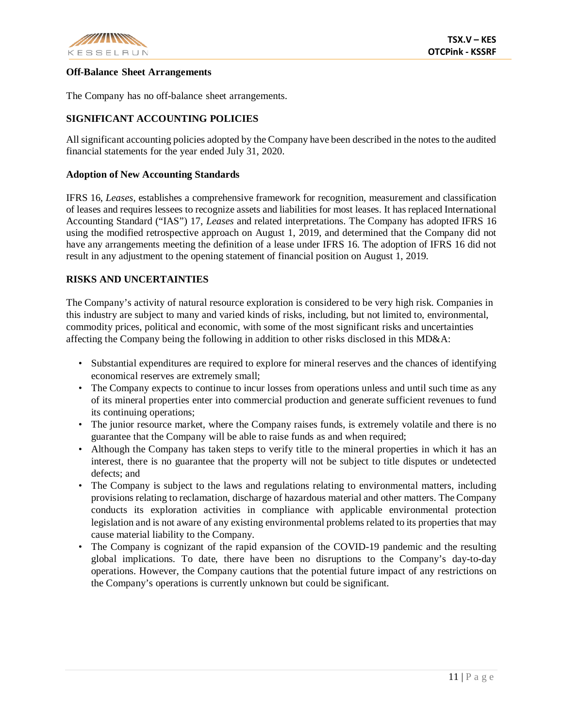

### **Off-Balance Sheet Arrangements**

The Company has no off-balance sheet arrangements.

# **SIGNIFICANT ACCOUNTING POLICIES**

All significant accounting policies adopted by the Company have been described in the notes to the audited financial statements for the year ended July 31, 2020.

#### **Adoption of New Accounting Standards**

IFRS 16, *Leases*, establishes a comprehensive framework for recognition, measurement and classification of leases and requires lessees to recognize assets and liabilities for most leases. It has replaced International Accounting Standard ("IAS") 17, *Leases* and related interpretations. The Company has adopted IFRS 16 using the modified retrospective approach on August 1, 2019, and determined that the Company did not have any arrangements meeting the definition of a lease under IFRS 16. The adoption of IFRS 16 did not result in any adjustment to the opening statement of financial position on August 1, 2019.

### **RISKS AND UNCERTAINTIES**

The Company's activity of natural resource exploration is considered to be very high risk. Companies in this industry are subject to many and varied kinds of risks, including, but not limited to, environmental, commodity prices, political and economic, with some of the most significant risks and uncertainties affecting the Company being the following in addition to other risks disclosed in this MD&A:

- Substantial expenditures are required to explore for mineral reserves and the chances of identifying economical reserves are extremely small;
- The Company expects to continue to incur losses from operations unless and until such time as any of its mineral properties enter into commercial production and generate sufficient revenues to fund its continuing operations;
- The junior resource market, where the Company raises funds, is extremely volatile and there is no guarantee that the Company will be able to raise funds as and when required;
- Although the Company has taken steps to verify title to the mineral properties in which it has an interest, there is no guarantee that the property will not be subject to title disputes or undetected defects; and
- The Company is subject to the laws and regulations relating to environmental matters, including provisions relating to reclamation, discharge of hazardous material and other matters. The Company conducts its exploration activities in compliance with applicable environmental protection legislation and is not aware of any existing environmental problems related to its properties that may cause material liability to the Company.
- The Company is cognizant of the rapid expansion of the COVID-19 pandemic and the resulting global implications. To date, there have been no disruptions to the Company's day-to-day operations. However, the Company cautions that the potential future impact of any restrictions on the Company's operations is currently unknown but could be significant.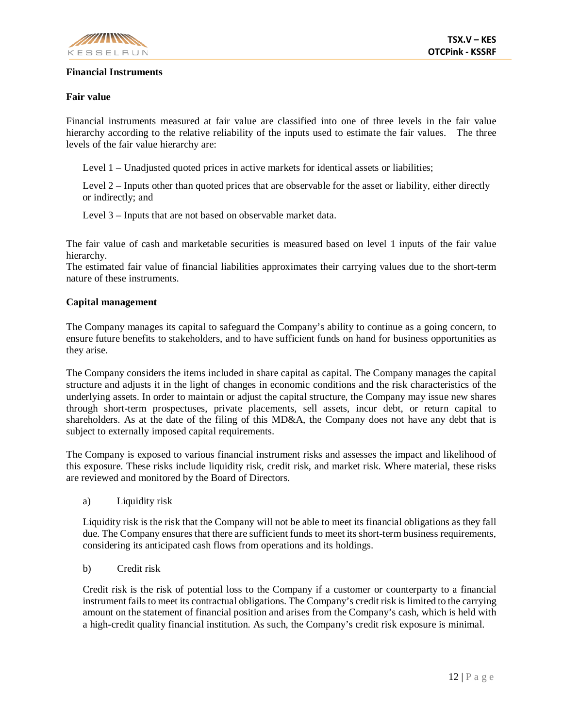

## **Financial Instruments**

## **Fair value**

Financial instruments measured at fair value are classified into one of three levels in the fair value hierarchy according to the relative reliability of the inputs used to estimate the fair values. The three levels of the fair value hierarchy are:

Level 1 – Unadjusted quoted prices in active markets for identical assets or liabilities;

Level 2 – Inputs other than quoted prices that are observable for the asset or liability, either directly or indirectly; and

Level 3 – Inputs that are not based on observable market data.

The fair value of cash and marketable securities is measured based on level 1 inputs of the fair value hierarchy.

The estimated fair value of financial liabilities approximates their carrying values due to the short-term nature of these instruments.

### **Capital management**

The Company manages its capital to safeguard the Company's ability to continue as a going concern, to ensure future benefits to stakeholders, and to have sufficient funds on hand for business opportunities as they arise.

The Company considers the items included in share capital as capital. The Company manages the capital structure and adjusts it in the light of changes in economic conditions and the risk characteristics of the underlying assets. In order to maintain or adjust the capital structure, the Company may issue new shares through short-term prospectuses, private placements, sell assets, incur debt, or return capital to shareholders. As at the date of the filing of this MD&A, the Company does not have any debt that is subject to externally imposed capital requirements.

The Company is exposed to various financial instrument risks and assesses the impact and likelihood of this exposure. These risks include liquidity risk, credit risk, and market risk. Where material, these risks are reviewed and monitored by the Board of Directors.

a) Liquidity risk

Liquidity risk is the risk that the Company will not be able to meet its financial obligations as they fall due. The Company ensures that there are sufficient funds to meet its short-term business requirements, considering its anticipated cash flows from operations and its holdings.

b) Credit risk

Credit risk is the risk of potential loss to the Company if a customer or counterparty to a financial instrument fails to meet its contractual obligations. The Company's credit risk is limited to the carrying amount on the statement of financial position and arises from the Company's cash, which is held with a high-credit quality financial institution. As such, the Company's credit risk exposure is minimal.